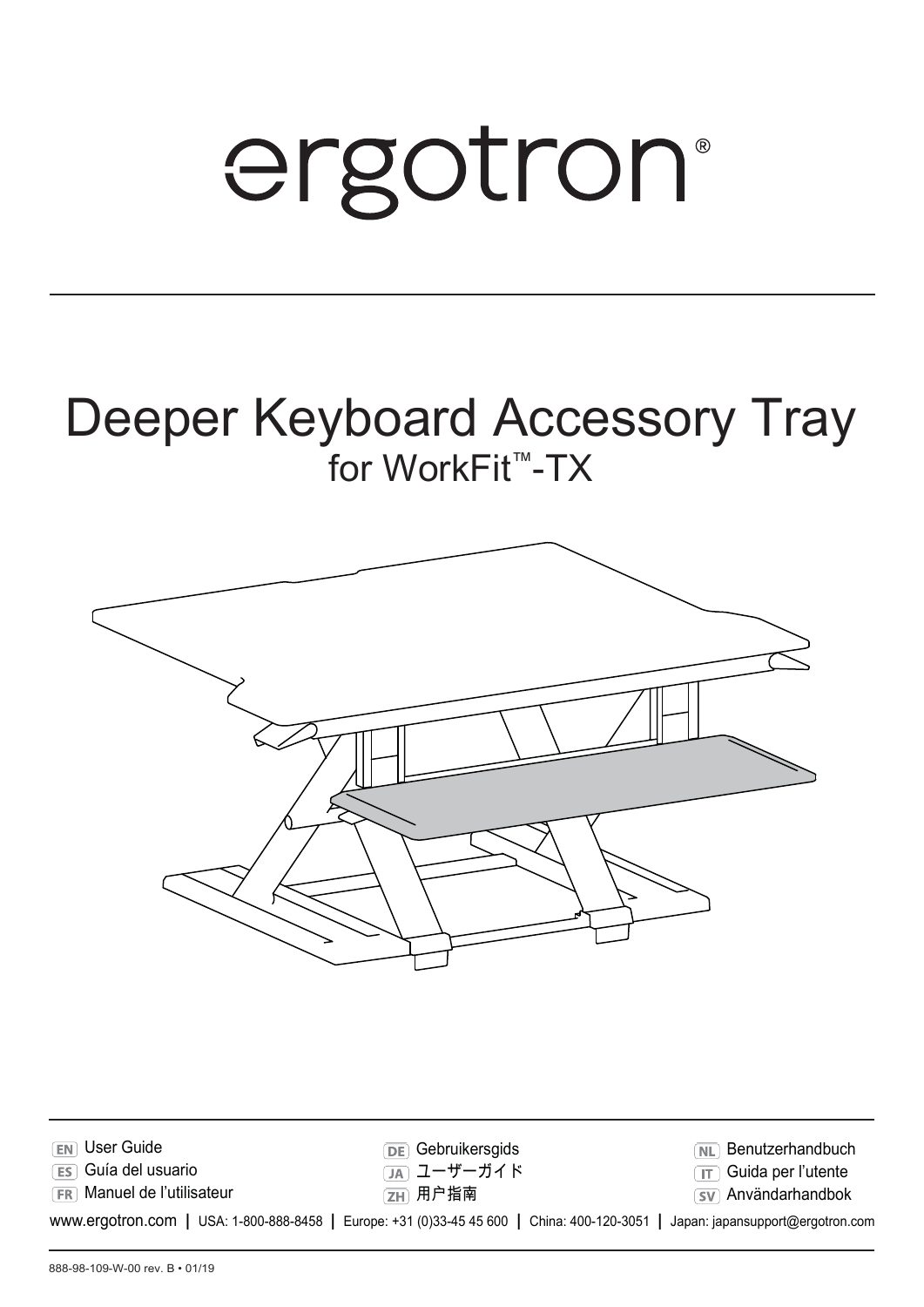# ergotron®

### Deeper Keyboard Accessory Tray for WorkFit™-TX



| <b>EN</b> User Guide                                                                                                          | <b>DE</b> Gebruikersgids | <b>NL</b> Benutzerhandbuch   |
|-------------------------------------------------------------------------------------------------------------------------------|--------------------------|------------------------------|
| <b>ES</b> Guía del usuario                                                                                                    | ① ユーザーガイド                | <b>TT</b> Guida per l'utente |
| <b>FR</b> Manuel de l'utilisateur                                                                                             | [ZH] 用户指南                | <b>SV</b> Användarhandbok    |
| WWW.ergotron.com   USA: 1-800-888-8458   Europe: +31 (0)33-45 45 600   China: 400-120-3051   Japan: japansupport@ergotron.com |                          |                              |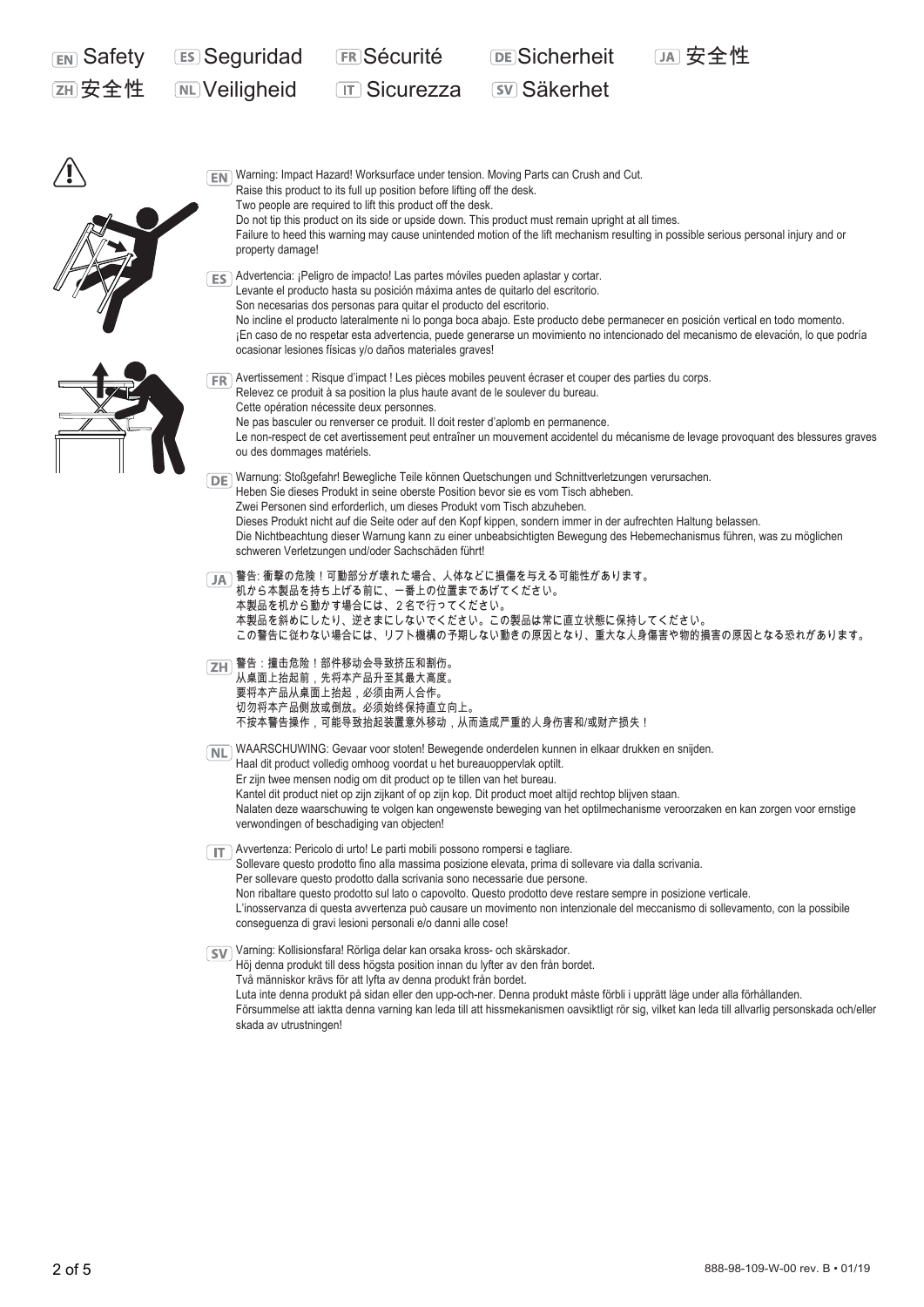| <b>EN</b> Safety | <b>ES Seguridad</b>                                                                                                                                                                                                                                                                                                                                                                                                                                                                                                                                                                    | <b>ER Sécurité</b>                                                                                                                                                                                                                                                                                                                                                                                                                                                                                                                                                            | <b>DE</b> Sicherheit                                                                                                       |                                                                                                                                                 |  |  |  |
|------------------|----------------------------------------------------------------------------------------------------------------------------------------------------------------------------------------------------------------------------------------------------------------------------------------------------------------------------------------------------------------------------------------------------------------------------------------------------------------------------------------------------------------------------------------------------------------------------------------|-------------------------------------------------------------------------------------------------------------------------------------------------------------------------------------------------------------------------------------------------------------------------------------------------------------------------------------------------------------------------------------------------------------------------------------------------------------------------------------------------------------------------------------------------------------------------------|----------------------------------------------------------------------------------------------------------------------------|-------------------------------------------------------------------------------------------------------------------------------------------------|--|--|--|
|                  | <b>ML</b> Veiligheid                                                                                                                                                                                                                                                                                                                                                                                                                                                                                                                                                                   | <b>TT Sicurezza</b>                                                                                                                                                                                                                                                                                                                                                                                                                                                                                                                                                           | <b>SV Säkerhet</b>                                                                                                         |                                                                                                                                                 |  |  |  |
|                  |                                                                                                                                                                                                                                                                                                                                                                                                                                                                                                                                                                                        |                                                                                                                                                                                                                                                                                                                                                                                                                                                                                                                                                                               |                                                                                                                            |                                                                                                                                                 |  |  |  |
|                  | Warning: Impact Hazard! Worksurface under tension. Moving Parts can Crush and Cut.<br>EN I<br>Raise this product to its full up position before lifting off the desk.<br>Two people are required to lift this product off the desk.<br>Do not tip this product on its side or upside down. This product must remain upright at all times.<br>Failure to heed this warning may cause unintended motion of the lift mechanism resulting in possible serious personal injury and or<br>property damage!                                                                                   |                                                                                                                                                                                                                                                                                                                                                                                                                                                                                                                                                                               |                                                                                                                            |                                                                                                                                                 |  |  |  |
|                  |                                                                                                                                                                                                                                                                                                                                                                                                                                                                                                                                                                                        | ES Advertencia: ¡Peligro de impacto! Las partes móviles pueden aplastar y cortar.<br>Levante el producto hasta su posición máxima antes de quitarlo del escritorio.<br>Son necesarias dos personas para quitar el producto del escritorio.<br>No incline el producto lateralmente ni lo ponga boca abajo. Este producto debe permanecer en posición vertical en todo momento.<br>¡En caso de no respetar esta advertencia, puede generarse un movimiento no intencionado del mecanismo de elevación, lo que podría<br>ocasionar lesiones físicas y/o daños materiales graves! |                                                                                                                            |                                                                                                                                                 |  |  |  |
|                  | Avertissement : Risque d'impact ! Les pièces mobiles peuvent écraser et couper des parties du corps.<br>FR I<br>Relevez ce produit à sa position la plus haute avant de le soulever du bureau.<br>Cette opération nécessite deux personnes.<br>Ne pas basculer ou renverser ce produit. Il doit rester d'aplomb en permanence.<br>Le non-respect de cet avertissement peut entraîner un mouvement accidentel du mécanisme de levage provoquant des blessures graves<br>ou des dommages matériels.                                                                                      |                                                                                                                                                                                                                                                                                                                                                                                                                                                                                                                                                                               |                                                                                                                            |                                                                                                                                                 |  |  |  |
|                  | DE Warnung: Stoßgefahr! Bewegliche Teile können Quetschungen und Schnittverletzungen verursachen.<br>Heben Sie dieses Produkt in seine oberste Position bevor sie es vom Tisch abheben.<br>Zwei Personen sind erforderlich, um dieses Produkt vom Tisch abzuheben.<br>Dieses Produkt nicht auf die Seite oder auf den Kopf kippen, sondern immer in der aufrechten Haltung belassen.<br>Die Nichtbeachtung dieser Warnung kann zu einer unbeabsichtigten Bewegung des Hebemechanismus führen, was zu möglichen<br>schweren Verletzungen und/oder Sachschäden führt!                    |                                                                                                                                                                                                                                                                                                                                                                                                                                                                                                                                                                               |                                                                                                                            |                                                                                                                                                 |  |  |  |
|                  | —警告: 衝撃の危険!可動部分が壊れた場合、人体などに損傷を与える可能性があります。<br>机から本製品を持ち上げる前に、一番上の位置まであげてください。<br>本製品を机から動かす場合には、2名で行ってください。<br>本製品を斜めにしたり、逆さまにしないでください。この製品は常に直立状態に保持してください。<br>この警告に従わない場合には、リフト機構の予期しない動きの原因となり、重大な人身傷害や物的損害の原因となる恐れがあります。                                                                                                                                                                                                                                                                                                                                                           |                                                                                                                                                                                                                                                                                                                                                                                                                                                                                                                                                                               |                                                                                                                            |                                                                                                                                                 |  |  |  |
|                  |                                                                                                                                                                                                                                                                                                                                                                                                                                                                                                                                                                                        | ZH 警告:撞击危险!部件移动会导致挤压和割伤。<br>从桌面上抬起前,先将本产品升至其最大高度。<br>要将本产品从桌面上抬起,必须由两人合作。<br>切勿将本产品侧放或倒放。必须始终保持直立向上。                                                                                                                                                                                                                                                                                                                                                                                                                                                                          | 不按本警告操作,可能导致抬起装置意外移动,从而造成严重的人身伤害和/或财产损失!                                                                                   |                                                                                                                                                 |  |  |  |
|                  | WAARSCHUWING: Gevaar voor stoten! Bewegende onderdelen kunnen in elkaar drukken en snijden.<br>NL.<br>Haal dit product volledig omhoog voordat u het bureauoppervlak optilt.<br>Er zijn twee mensen nodig om dit product op te tillen van het bureau.<br>Kantel dit product niet op zijn zijkant of op zijn kop. Dit product moet altijd rechtop blijven staan.<br>Nalaten deze waarschuwing te volgen kan ongewenste beweging van het optilmechanisme veroorzaken en kan zorgen voor ernstige<br>verwondingen of beschadiging van objecten!                                           |                                                                                                                                                                                                                                                                                                                                                                                                                                                                                                                                                                               |                                                                                                                            |                                                                                                                                                 |  |  |  |
|                  | Avvertenza: Pericolo di urto! Le parti mobili possono rompersi e tagliare.<br>Sollevare questo prodotto fino alla massima posizione elevata, prima di sollevare via dalla scrivania.<br>Per sollevare questo prodotto dalla scrivania sono necessarie due persone.<br>Non ribaltare questo prodotto sul lato o capovolto. Questo prodotto deve restare sempre in posizione verticale.<br>L'inosservanza di questa avvertenza può causare un movimento non intenzionale del meccanismo di sollevamento, con la possibile<br>conseguenza di gravi lesioni personali e/o danni alle cose! |                                                                                                                                                                                                                                                                                                                                                                                                                                                                                                                                                                               |                                                                                                                            |                                                                                                                                                 |  |  |  |
|                  | skada av utrustningen!                                                                                                                                                                                                                                                                                                                                                                                                                                                                                                                                                                 | SV Varning: Kollisionsfara! Rörliga delar kan orsaka kross- och skärskador.<br>Höj denna produkt till dess högsta position innan du lyfter av den från bordet.<br>Två människor krävs för att lyfta av denna produkt från bordet.                                                                                                                                                                                                                                                                                                                                             | Luta inte denna produkt på sidan eller den upp-och-ner. Denna produkt måste förbli i upprätt läge under alla förhållanden. | Försummelse att iaktta denna varning kan leda till att hissmekanismen oavsiktligt rör sig, vilket kan leda till allvarlig personskada och/eller |  |  |  |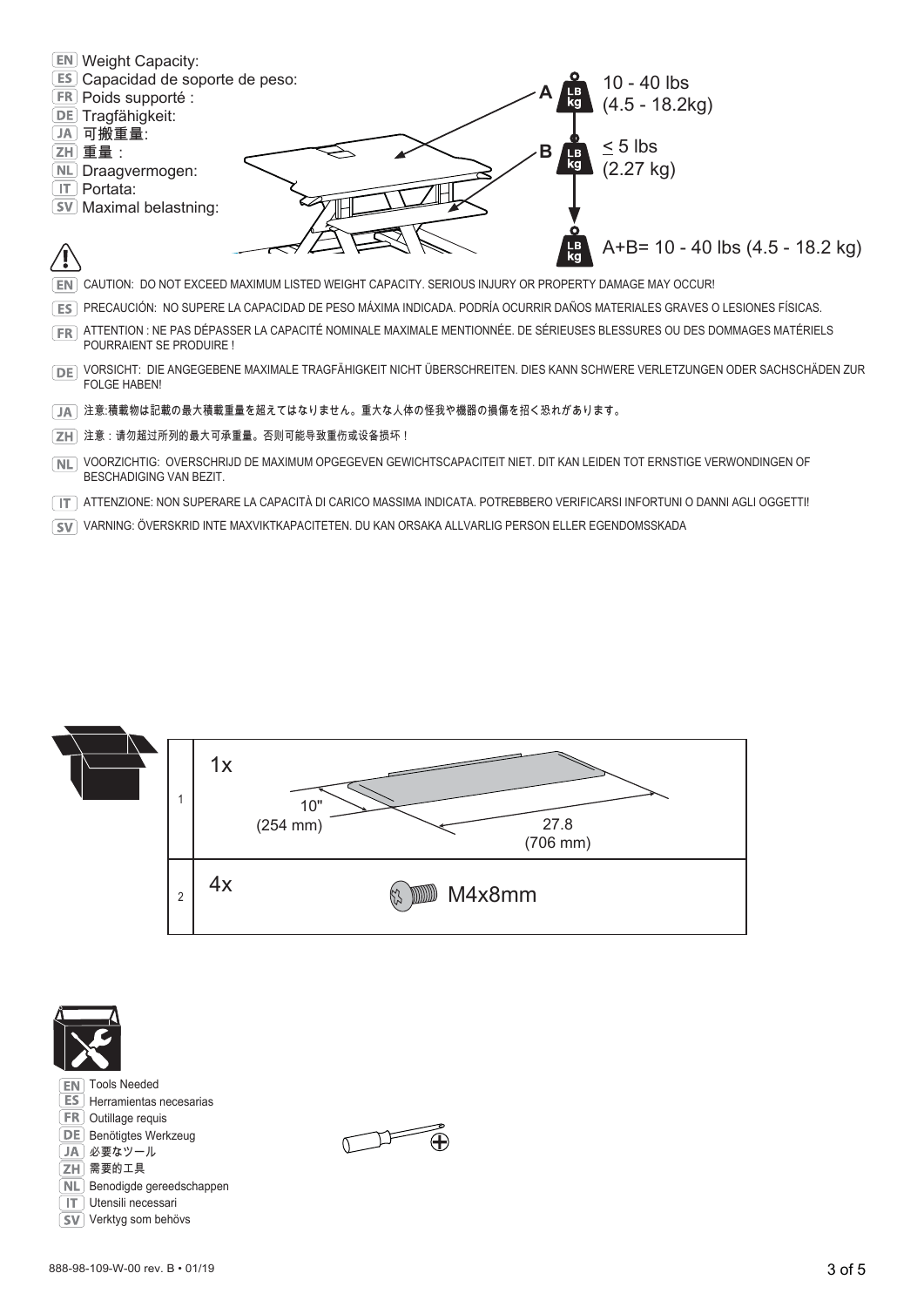

- VORSICHT: DIE ANGEGEBENE MAXIMALE TRAGFÄHIGKEIT NICHT ÜBERSCHREITEN. DIES KANN SCHWERE VERLETZUNGEN ODER SACHSCHÄDEN ZUR FOLGE HABEN!
- 注意:積載物は記載の最大積載重量を超えてはなりません。重大な人体の怪我や機器の損傷を招く恐れがあります。
- 注意:请勿超过所列的最大可承重量。否则可能导致重伤或设备损坏!
- VOORZICHTIG: OVERSCHRIJD DE MAXIMUM OPGEGEVEN GEWICHTSCAPACITEIT NIET. DIT KAN LEIDEN TOT ERNSTIGE VERWONDINGEN OF BESCHADIGING VAN BEZIT.
- ATTENZIONE: NON SUPERARE LA CAPACITÀ DI CARICO MASSIMA INDICATA. POTREBBERO VERIFICARSI INFORTUNI O DANNI AGLI OGGETTI!
- VARNING: ÖVERSKRID INTE MAXVIKTKAPACITETEN. DU KAN ORSAKA ALLVARLIG PERSON ELLER EGENDOMSSKADA



 $\widehat{A}$ 

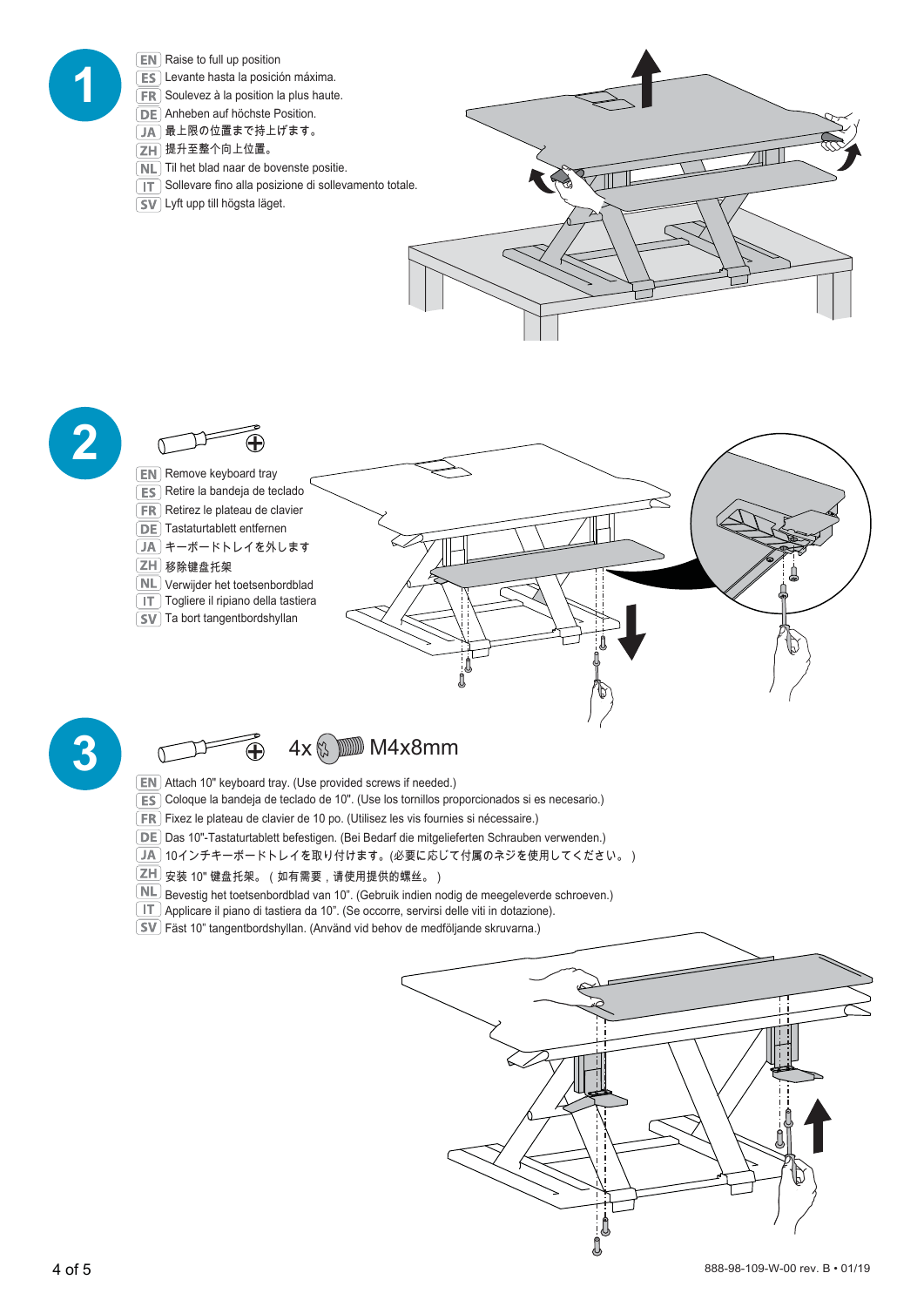

- 
- $\sqrt{SV}$  Ta bort tangentbordshyllan





#### **3** 4x M4x8mm

- Attach 10" keyboard tray. (Use provided screws if needed.)
- Coloque la bandeja de teclado de 10". (Use los tornillos proporcionados si es necesario.)
- Fixez le plateau de clavier de 10 po. (Utilisez les vis fournies si nécessaire.)
- Das 10"-Tastaturtablett befestigen. (Bei Bedarf die mitgelieferten Schrauben verwenden.)
- $\overline{\mathsf{J}}$ 40インチキーボードトレイを取り付けます。(必要に応じて付属のネジを使用してください。)
- $\boxed{\mathsf{ZH}}$  安装 10" 键盘托架。(如有需要,请使用提供的螺丝。)
- $\underline{\mathbb{ML}}$  Bevestig het toetsenbordblad van 10". (Gebruik indien nodig de meegeleverde schroeven.)
- Applicare il piano di tastiera da 10". (Se occorre, servirsi delle viti in dotazione).
- Fäst 10" tangentbordshyllan. (Använd vid behov de medföljande skruvarna.)